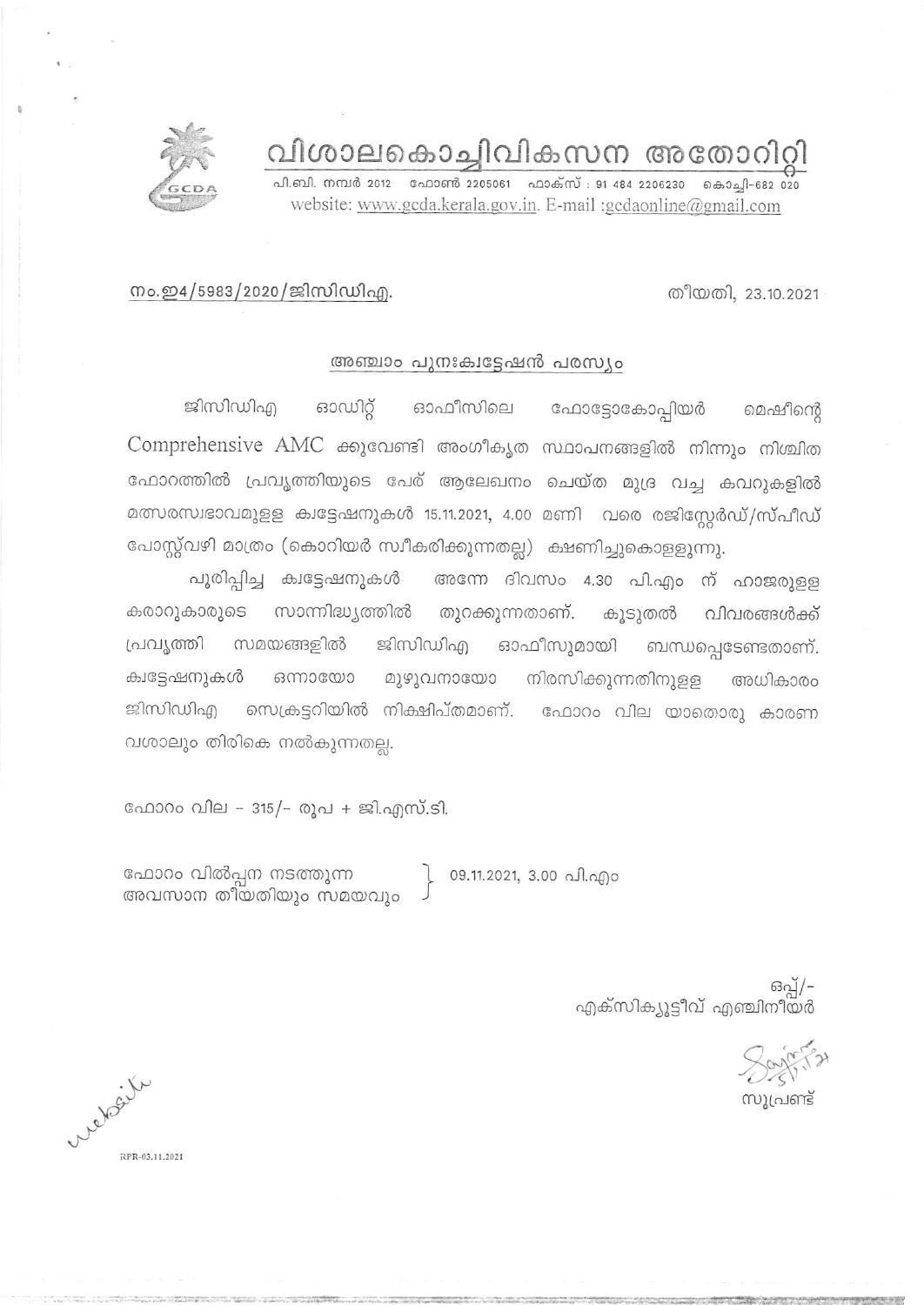വിശാലകൊച്ചിവികസന അതോറിറ്റി

പി.ബി. നമ്പർ 2012 - ഫോൺ 2205061 - ഫാക്സ് : 91 484 2206230 - കൊച്ചി-682 020 website: www.gcda.kerala.gov.in. E-mail :gcdaonline@gmail.com

### നം.ഇ4/5983/2020/ജിസിഡിഎ.

#### അഞ്ചാം പുനഃക്വട്ടേഷൻ പരസ്യം

ഫോട്ടോകോപ്പിയർ ജിസിഡിഎ ഓഡിറ്റ് ഓഫീസിലെ മെഷീന്റെ Comprehensive AMC ക്കുവേണ്ടി അംഗീകൃത സ്ഥാപനങ്ങളിൽ നിന്നും നിശ്ചിത ഫോറത്തിൽ പ്രവൃത്തിയുടെ പേര് ആലേഖനം ചെയ്ത മുദ്ര വച്ച കവറുകളിൽ മത്സരസ്വഭാവമുളള ക്വട്ടേഷനുകൾ 15.11.2021, 4.00 മണി വരെ രജിസ്റ്റേർഡ്/സ്പീഡ് പോസ്റ്റ്വഴി മാത്രം (കൊറിയർ സ്വീകരിക്കുന്നതല്ല) ക്ഷണിച്ചുകൊളളുന്നു.

അന്നേ ദിവസം 4.30 പി.എം ന് ഹാജരുളള പൂരിപ്പിച്ച ക്വട്ടേഷനുകൾ സാന്നിദ്ധ്യത്തിൽ തുറക്കുന്നതാണ്. കൂടുതൽ കരാറുകാരുടെ വിവരങ്ങൾക്ക് പ്രവൃത്തി ഓഫീസുമായി ബന്ധപ്പെടേണ്ടതാണ്. സമയങ്ങളിൽ ജിസിഡിഎ മുഴുവനായോ നിരസിക്കുന്നതിനുളള അധികാരം ക്വട്ടേഷനുകൾ ഒന്നായോ സെക്രട്ടറിയിൽ നിക്ഷിപ്തമാണ്. "ഫോറം വില യാതൊരു കാരണ ജിസിഡിഎ വശാലും തിരികെ നൽകുന്നതല്ല.

ഫോറം വില - 315/- രൂപ + ജി.എസ്.ടി.

ഫോറം വിൽപ്പന നടത്തുന്ന അവസാന തീയതിയും സമയവും

09.11.2021, 3.00 പി.എം

ഒപ്പ്/-എക്സിക്യൂട്ടീവ് എഞ്ചിനീയർ

സ്വപ്രണ്ട്

Website RPR-03.11.2021



തീയതി, 23.10.2021